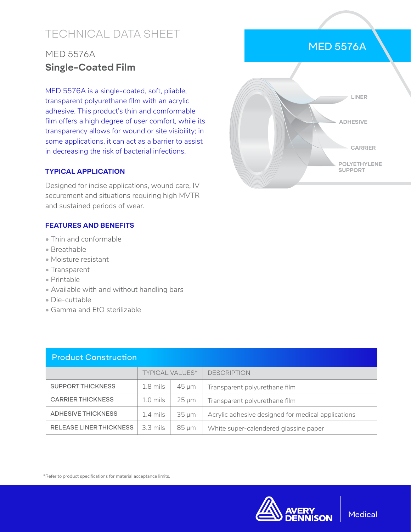# TECHNICAL DATA SHEET

## MED 5576A **Single-Coated Film**

MED 5576A is a single-coated, soft, pliable, transparent polyurethane film with an acrylic adhesive. This product's thin and comformable film offers a high degree of user comfort, while its transparency allows for wound or site visibility; in some applications, it can act as a barrier to assist in decreasing the risk of bacterial infections.

### **TYPICAL APPLICATION**

Designed for incise applications, wound care, IV securement and situations requiring high MVTR and sustained periods of wear.

#### **FEATURES AND BENEFITS**

- Thin and conformable
- Breathable
- Moisture resistant
- Transparent
- Printable
- Available with and without handling bars
- Die-cuttable
- Gamma and EtO sterilizable

| <b>Product Construction</b>    |                        |            |                                                    |  |  |  |
|--------------------------------|------------------------|------------|----------------------------------------------------|--|--|--|
|                                | <b>TYPICAL VALUES*</b> |            | <b>DESCRIPTION</b>                                 |  |  |  |
| <b>SUPPORT THICKNESS</b>       | $1.8$ mils             | $45 \mu m$ | Transparent polyurethane film                      |  |  |  |
| <b>CARRIER THICKNESS</b>       | $1.0$ mils             | $25 \mu m$ | Transparent polyurethane film                      |  |  |  |
| <b>ADHESIVE THICKNESS</b>      | $1.4 \,\mathrm{mils}$  | $35 \mu m$ | Acrylic adhesive designed for medical applications |  |  |  |
| <b>RELEASE LINER THICKNESS</b> | $3.3$ mils             | $85 \mu m$ | White super-calendered glassine paper              |  |  |  |